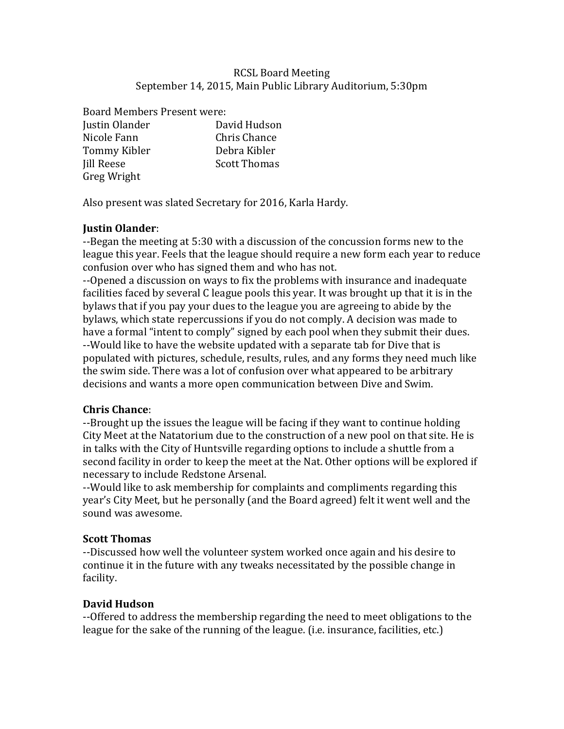### RCSL Board Meeting September 14, 2015, Main Public Library Auditorium, 5:30pm

Board Members Present were: Justin Olander David Hudson Nicole Fann Chris Chance Tommy Kibler **Debra** Kibler Iill Reese Scott Thomas Greg Wright

Also present was slated Secretary for 2016, Karla Hardy.

# **Justin Olander**:

--Began the meeting at 5:30 with a discussion of the concussion forms new to the league this year. Feels that the league should require a new form each year to reduce confusion over who has signed them and who has not.

--Opened a discussion on ways to fix the problems with insurance and inadequate facilities faced by several C league pools this year. It was brought up that it is in the bylaws that if you pay your dues to the league you are agreeing to abide by the bylaws, which state repercussions if you do not comply. A decision was made to have a formal "intent to comply" signed by each pool when they submit their dues. --Would like to have the website updated with a separate tab for Dive that is populated with pictures, schedule, results, rules, and any forms they need much like the swim side. There was a lot of confusion over what appeared to be arbitrary decisions and wants a more open communication between Dive and Swim.

# **Chris Chance**:

--Brought up the issues the league will be facing if they want to continue holding City Meet at the Natatorium due to the construction of a new pool on that site. He is in talks with the City of Huntsville regarding options to include a shuttle from a second facility in order to keep the meet at the Nat. Other options will be explored if necessary to include Redstone Arsenal.

--Would like to ask membership for complaints and compliments regarding this year's City Meet, but he personally (and the Board agreed) felt it went well and the sound was awesome.

# **Scott Thomas**

--Discussed how well the volunteer system worked once again and his desire to continue it in the future with any tweaks necessitated by the possible change in facility.

# **David Hudson**

--Offered to address the membership regarding the need to meet obligations to the league for the sake of the running of the league. (i.e. insurance, facilities, etc.)